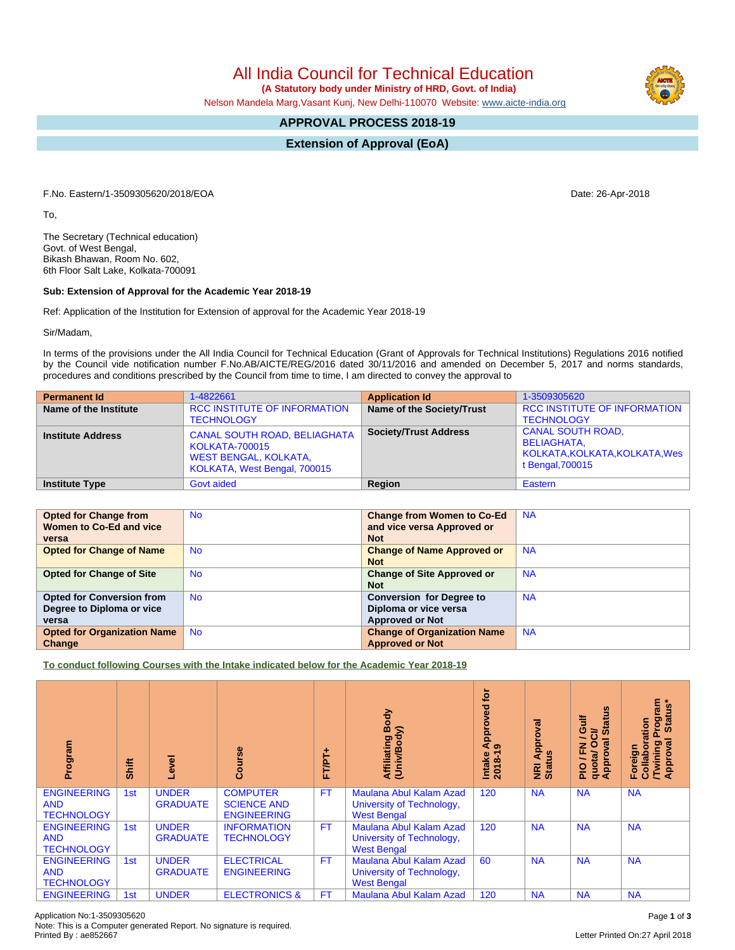All India Council for Technical Education

 **(A Statutory body under Ministry of HRD, Govt. of India)**

Nelson Mandela Marg,Vasant Kunj, New Delhi-110070 Website: [www.aicte-india.org](http://www.aicte-india.org)

## **APPROVAL PROCESS 2018-19**

**Extension of Approval (EoA)**

F.No. Eastern/1-3509305620/2018/EOA Date: 26-Apr-2018

To,

The Secretary (Technical education) Govt. of West Bengal, Bikash Bhawan, Room No. 602, 6th Floor Salt Lake, Kolkata-700091

## **Sub: Extension of Approval for the Academic Year 2018-19**

Ref: Application of the Institution for Extension of approval for the Academic Year 2018-19

Sir/Madam,

In terms of the provisions under the All India Council for Technical Education (Grant of Approvals for Technical Institutions) Regulations 2016 notified by the Council vide notification number F.No.AB/AICTE/REG/2016 dated 30/11/2016 and amended on December 5, 2017 and norms standards, procedures and conditions prescribed by the Council from time to time, I am directed to convey the approval to

| <b>Permanent Id</b>      | 1-4822661                                                                                                                    | <b>Application Id</b>        | 1-3509305620                                                                                         |
|--------------------------|------------------------------------------------------------------------------------------------------------------------------|------------------------------|------------------------------------------------------------------------------------------------------|
| Name of the Institute    | <b>RCC INSTITUTE OF INFORMATION</b><br><b>TECHNOLOGY</b>                                                                     | Name of the Society/Trust    | <b>RCC INSTITUTE OF INFORMATION</b><br><b>TECHNOLOGY</b>                                             |
| <b>Institute Address</b> | <b>CANAL SOUTH ROAD, BELIAGHATA</b><br><b>KOLKATA-700015</b><br><b>WEST BENGAL, KOLKATA,</b><br>KOLKATA, West Bengal, 700015 | <b>Society/Trust Address</b> | <b>CANAL SOUTH ROAD.</b><br><b>BELIAGHATA,</b><br>KOLKATA, KOLKATA, KOLKATA, Wes<br>t Bengal, 700015 |
| <b>Institute Type</b>    | Govt aided                                                                                                                   | Region                       | Eastern                                                                                              |

| <b>Opted for Change from</b>       | <b>No</b> | <b>Change from Women to Co-Ed</b>  | <b>NA</b> |
|------------------------------------|-----------|------------------------------------|-----------|
| Women to Co-Ed and vice            |           | and vice versa Approved or         |           |
| versa                              |           | <b>Not</b>                         |           |
| <b>Opted for Change of Name</b>    | <b>No</b> | <b>Change of Name Approved or</b>  | <b>NA</b> |
|                                    |           | <b>Not</b>                         |           |
| <b>Opted for Change of Site</b>    | <b>No</b> | <b>Change of Site Approved or</b>  | <b>NA</b> |
|                                    |           | <b>Not</b>                         |           |
| <b>Opted for Conversion from</b>   | <b>No</b> | <b>Conversion for Degree to</b>    | <b>NA</b> |
| Degree to Diploma or vice          |           | Diploma or vice versa              |           |
| versa                              |           | <b>Approved or Not</b>             |           |
| <b>Opted for Organization Name</b> | <b>No</b> | <b>Change of Organization Name</b> | <b>NA</b> |
| Change                             |           | <b>Approved or Not</b>             |           |

**To conduct following Courses with the Intake indicated below for the Academic Year 2018-19**

| Program                                               | Shift | Level                           | rse<br>යි                                                   | FT/PT+    | Body<br>⋦<br>Affiliating<br>(Univ/Body                                     | ē<br>Approved<br>െ<br>$2018 - 1$<br>Intake | Approval<br><b>Status</b><br>$\overline{z}$ | 9n<br>青<br>ဖ<br>້៰<br>0<br>g<br>준<br>quota/<br>Approv<br>$\frac{1}{2}$ | <b>rogram</b><br>Status*<br>Collaboration<br>$\sigma$<br><b>Twining</b><br>Approval<br>Foreign |
|-------------------------------------------------------|-------|---------------------------------|-------------------------------------------------------------|-----------|----------------------------------------------------------------------------|--------------------------------------------|---------------------------------------------|------------------------------------------------------------------------|------------------------------------------------------------------------------------------------|
| <b>ENGINEERING</b><br><b>AND</b><br><b>TECHNOLOGY</b> | 1st   | <b>UNDER</b><br><b>GRADUATE</b> | <b>COMPUTER</b><br><b>SCIENCE AND</b><br><b>ENGINEERING</b> | <b>FT</b> | Maulana Abul Kalam Azad<br>University of Technology,<br><b>West Bengal</b> | 120                                        | <b>NA</b>                                   | <b>NA</b>                                                              | <b>NA</b>                                                                                      |
| <b>ENGINEERING</b><br><b>AND</b><br><b>TECHNOLOGY</b> | 1st   | <b>UNDER</b><br><b>GRADUATE</b> | <b>INFORMATION</b><br><b>TECHNOLOGY</b>                     | <b>FT</b> | Maulana Abul Kalam Azad<br>University of Technology,<br><b>West Bengal</b> | 120                                        | <b>NA</b>                                   | <b>NA</b>                                                              | <b>NA</b>                                                                                      |
| <b>ENGINEERING</b><br><b>AND</b><br><b>TECHNOLOGY</b> | 1st   | <b>UNDER</b><br><b>GRADUATE</b> | <b>ELECTRICAL</b><br><b>ENGINEERING</b>                     | <b>FT</b> | Maulana Abul Kalam Azad<br>University of Technology,<br><b>West Bengal</b> | 60                                         | <b>NA</b>                                   | <b>NA</b>                                                              | <b>NA</b>                                                                                      |
| <b>ENGINEERING</b>                                    | 1st   | <b>UNDER</b>                    | <b>ELECTRONICS &amp;</b>                                    | FT        | Maulana Abul Kalam Azad                                                    | 120                                        | <b>NA</b>                                   | <b>NA</b>                                                              | <b>NA</b>                                                                                      |

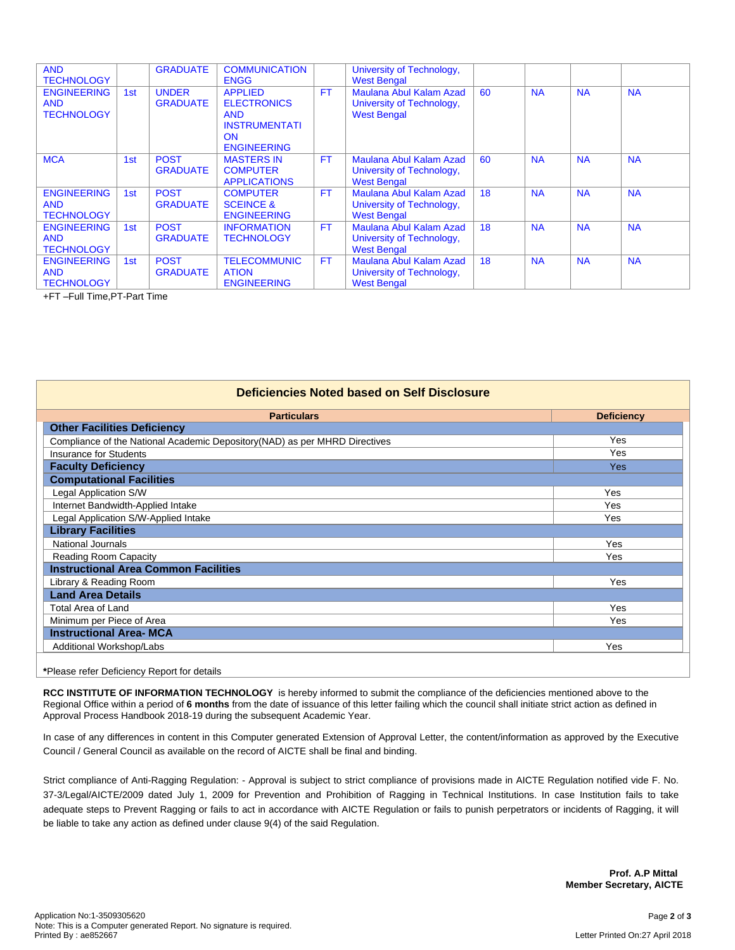| <b>AND</b><br><b>TECHNOLOGY</b>                       |     | <b>GRADUATE</b>                 | <b>COMMUNICATION</b><br><b>ENGG</b>                                                                           |           | University of Technology,<br><b>West Bengal</b>                            |    |           |           |           |
|-------------------------------------------------------|-----|---------------------------------|---------------------------------------------------------------------------------------------------------------|-----------|----------------------------------------------------------------------------|----|-----------|-----------|-----------|
| <b>ENGINEERING</b><br><b>AND</b><br><b>TECHNOLOGY</b> | 1st | <b>UNDER</b><br><b>GRADUATE</b> | <b>APPLIED</b><br><b>ELECTRONICS</b><br><b>AND</b><br><b>INSTRUMENTATI</b><br><b>ON</b><br><b>ENGINEERING</b> | <b>FT</b> | Maulana Abul Kalam Azad<br>University of Technology,<br><b>West Bengal</b> | 60 | <b>NA</b> | <b>NA</b> | <b>NA</b> |
| <b>MCA</b>                                            | 1st | <b>POST</b><br><b>GRADUATE</b>  | <b>MASTERS IN</b><br><b>COMPUTER</b><br><b>APPLICATIONS</b>                                                   | <b>FT</b> | Maulana Abul Kalam Azad<br>University of Technology,<br><b>West Bengal</b> | 60 | <b>NA</b> | <b>NA</b> | <b>NA</b> |
| <b>ENGINEERING</b><br><b>AND</b><br><b>TECHNOLOGY</b> | 1st | <b>POST</b><br><b>GRADUATE</b>  | <b>COMPUTER</b><br><b>SCEINCE &amp;</b><br><b>ENGINEERING</b>                                                 | <b>FT</b> | Maulana Abul Kalam Azad<br>University of Technology,<br><b>West Bengal</b> | 18 | <b>NA</b> | <b>NA</b> | <b>NA</b> |
| <b>ENGINEERING</b><br><b>AND</b><br><b>TECHNOLOGY</b> | 1st | <b>POST</b><br><b>GRADUATE</b>  | <b>INFORMATION</b><br><b>TECHNOLOGY</b>                                                                       | <b>FT</b> | Maulana Abul Kalam Azad<br>University of Technology,<br><b>West Bengal</b> | 18 | <b>NA</b> | <b>NA</b> | <b>NA</b> |
| <b>ENGINEERING</b><br><b>AND</b><br><b>TECHNOLOGY</b> | 1st | <b>POST</b><br><b>GRADUATE</b>  | <b>TELECOMMUNIC</b><br><b>ATION</b><br><b>ENGINEERING</b>                                                     | <b>FT</b> | Maulana Abul Kalam Azad<br>University of Technology,<br><b>West Bengal</b> | 18 | <b>NA</b> | <b>NA</b> | <b>NA</b> |

+FT –Full Time,PT-Part Time

| Deficiencies Noted based on Self Disclosure                                 |            |  |  |  |  |  |  |
|-----------------------------------------------------------------------------|------------|--|--|--|--|--|--|
| <b>Particulars</b><br><b>Deficiency</b>                                     |            |  |  |  |  |  |  |
| <b>Other Facilities Deficiency</b>                                          |            |  |  |  |  |  |  |
| Compliance of the National Academic Depository (NAD) as per MHRD Directives | Yes        |  |  |  |  |  |  |
| Insurance for Students                                                      | <b>Yes</b> |  |  |  |  |  |  |
| <b>Faculty Deficiency</b>                                                   | <b>Yes</b> |  |  |  |  |  |  |
| <b>Computational Facilities</b>                                             |            |  |  |  |  |  |  |
| <b>Legal Application S/W</b>                                                | Yes        |  |  |  |  |  |  |
| Internet Bandwidth-Applied Intake                                           | Yes        |  |  |  |  |  |  |
| Legal Application S/W-Applied Intake                                        | Yes        |  |  |  |  |  |  |
| <b>Library Facilities</b>                                                   |            |  |  |  |  |  |  |
| <b>National Journals</b><br>Yes                                             |            |  |  |  |  |  |  |
| <b>Reading Room Capacity</b><br>Yes                                         |            |  |  |  |  |  |  |
| <b>Instructional Area Common Facilities</b>                                 |            |  |  |  |  |  |  |
| Library & Reading Room                                                      | Yes        |  |  |  |  |  |  |
| <b>Land Area Details</b>                                                    |            |  |  |  |  |  |  |
| Total Area of Land                                                          | Yes        |  |  |  |  |  |  |
| Minimum per Piece of Area                                                   | Yes        |  |  |  |  |  |  |
| <b>Instructional Area- MCA</b>                                              |            |  |  |  |  |  |  |
| Additional Workshop/Labs<br>Yes                                             |            |  |  |  |  |  |  |
|                                                                             |            |  |  |  |  |  |  |
| *Please refer Deficiency Report for details                                 |            |  |  |  |  |  |  |

**RCC INSTITUTE OF INFORMATION TECHNOLOGY** is hereby informed to submit the compliance of the deficiencies mentioned above to the Regional Office within a period of **6 months** from the date of issuance of this letter failing which the council shall initiate strict action as defined in Approval Process Handbook 2018-19 during the subsequent Academic Year.

In case of any differences in content in this Computer generated Extension of Approval Letter, the content/information as approved by the Executive Council / General Council as available on the record of AICTE shall be final and binding.

Strict compliance of Anti-Ragging Regulation: - Approval is subject to strict compliance of provisions made in AICTE Regulation notified vide F. No. 37-3/Legal/AICTE/2009 dated July 1, 2009 for Prevention and Prohibition of Ragging in Technical Institutions. In case Institution fails to take adequate steps to Prevent Ragging or fails to act in accordance with AICTE Regulation or fails to punish perpetrators or incidents of Ragging, it will be liable to take any action as defined under clause 9(4) of the said Regulation.

> **Prof. A.P Mittal Member Secretary, AICTE**